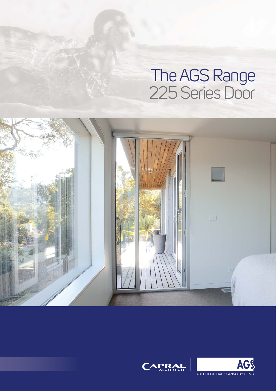# The AGS Range 225 Series Door